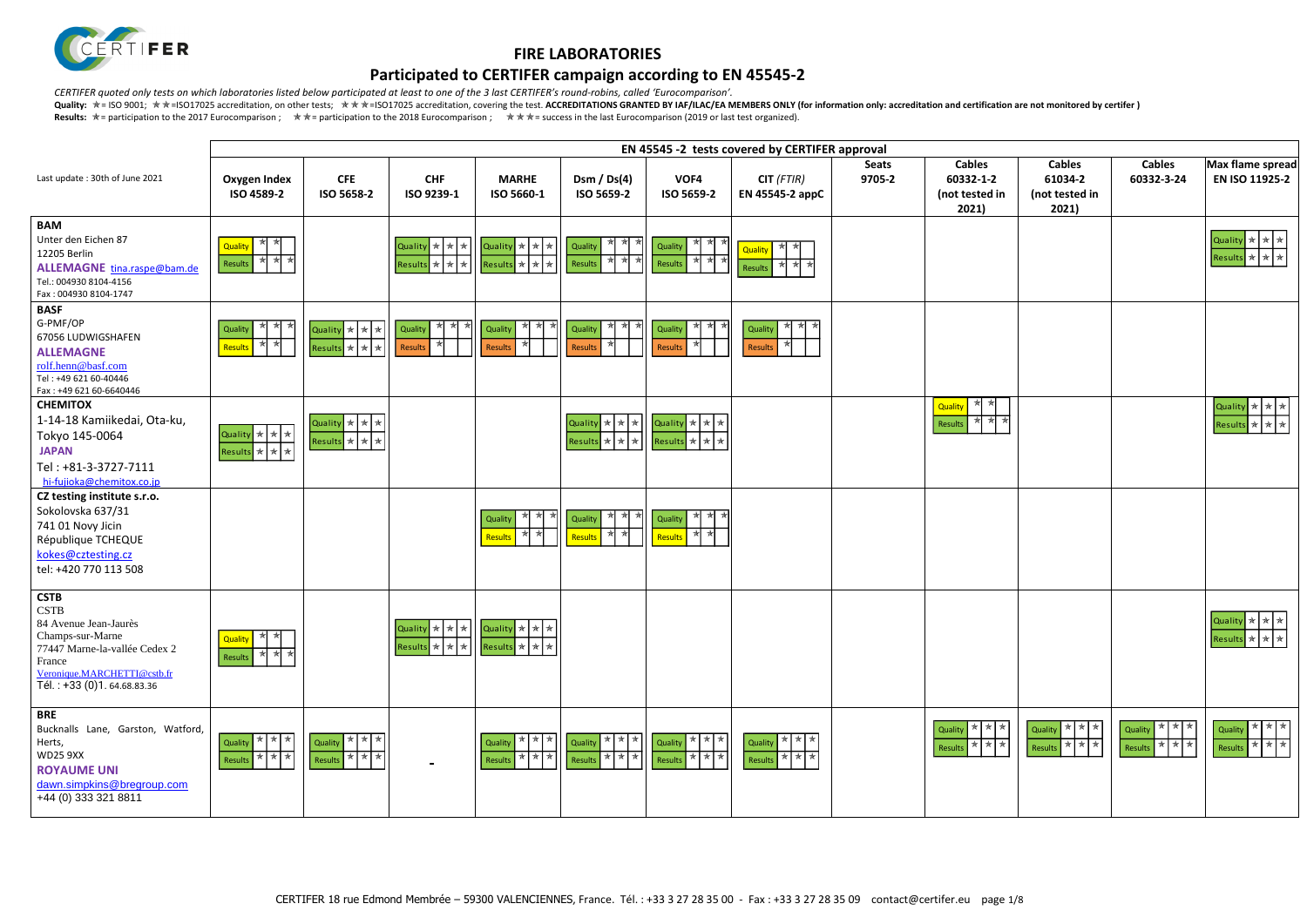

## **Participated to CERTIFER campaign according to EN 45545-2**

*CERTIFER quoted only tests on which laboratories listed below participated at least to one of the 3 last CERTIFER's round-robins, called 'Eurocomparison'.*

|                                                                                                                                                                                               |                                                    |                                                                                                |                                                                                                           |                                                                                                                                                                                                                       |                                                                                                                                                   |                                         | EN 45545 -2 tests covered by CERTIFER approval |                        |                                                       |                                                     |                                                                                   |                                                                                              |
|-----------------------------------------------------------------------------------------------------------------------------------------------------------------------------------------------|----------------------------------------------------|------------------------------------------------------------------------------------------------|-----------------------------------------------------------------------------------------------------------|-----------------------------------------------------------------------------------------------------------------------------------------------------------------------------------------------------------------------|---------------------------------------------------------------------------------------------------------------------------------------------------|-----------------------------------------|------------------------------------------------|------------------------|-------------------------------------------------------|-----------------------------------------------------|-----------------------------------------------------------------------------------|----------------------------------------------------------------------------------------------|
| Last update: 30th of June 2021                                                                                                                                                                | Oxygen Index<br>ISO 4589-2                         | <b>CFE</b><br>ISO 5658-2                                                                       | <b>CHF</b><br>ISO 9239-1                                                                                  | <b>MARHE</b><br>ISO 5660-1                                                                                                                                                                                            | Dsm / $Ds(4)$<br>ISO 5659-2                                                                                                                       | VOF4<br>ISO 5659-2                      | $CIT$ (FTIR)<br>EN 45545-2 appC                | <b>Seats</b><br>9705-2 | <b>Cables</b><br>60332-1-2<br>(not tested in<br>2021) | <b>Cables</b><br>61034-2<br>(not tested in<br>2021) | <b>Cables</b><br>60332-3-24                                                       | Max flame spread<br>EN ISO 11925-2                                                           |
| <b>BAM</b><br>Unter den Eichen 87<br>12205 Berlin<br>ALLEMAGNE tina.raspe@bam.de<br>Tel.: 004930 8104-4156<br>Fax: 004930 8104-1747                                                           | Quality <b>*</b> *<br>★ ★<br>Results               |                                                                                                | Quality $\star$ $\star$ $\star$ $\parallel$<br>$\overline{\mathsf{Results}} \times \overline{\mathsf{*}}$ | Quality $\star$ $\star$ $\star$<br>Results $\star$ $\star$ $\star$                                                                                                                                                    | ★ ★ ★   <br>Quality<br>* * *<br>Results                                                                                                           | $\mathbb{Z}$<br>★<br>Quality<br>Results | * *<br>Quality<br>Results                      |                        |                                                       |                                                     |                                                                                   | Quality $\star$ $\star$ $\star$<br>Results $\star$ $\star$ $\star$                           |
| <b>BASF</b><br>G-PMF/OP<br>67056 LUDWIGSHAFEN<br><b>ALLEMAGNE</b><br>rolf.henn@basf.com<br>Tel: +49 621 60-40446<br>Fax: +49 621 60-6640446                                                   | ∗<br>★<br>Quality<br>* *<br>Results                | Quality $\star$ $\star$ $\star$<br>Results $\mathbf{R}$ $\mathbf{R}$ $\mathbf{R}$ $\mathbf{R}$ | ★ ★<br><b>Quality</b><br>Results                                                                          | ★ ★<br>Quality<br>Results                                                                                                                                                                                             | * *<br>∗k<br>Quality<br>Results                                                                                                                   | ∗k<br>Quality<br>Results                | ★ ★<br>Quality<br>Results                      |                        |                                                       |                                                     |                                                                                   |                                                                                              |
| <b>CHEMITOX</b><br>1-14-18 Kamiikedai, Ota-ku,<br>Tokyo 145-0064<br><b>JAPAN</b><br>Tel: +81-3-3727-7111<br>hi-fujioka@chemitox.co.jp                                                         | Quality * * *<br>Results * * *                     | Quality $\star$ $\star$ $\star$<br>Results $\star \star \star$                                 |                                                                                                           |                                                                                                                                                                                                                       | Quality $\star$ $\star$ $\star$ $\left \right.$ Quality $\star$ $\star$ $\star$<br>$\left \text{Results}\right  \star \left  \star \right  \star$ | Results $\star$ $\star$ $\star$         |                                                |                        | Quality<br>$\star$<br><b>*</b> *<br>Results           |                                                     |                                                                                   | Quality $\star$ $\star$ $\star$<br>$\mathbf{S}$ $\star$ $\star$ $\star$<br>Result:           |
| CZ testing institute s.r.o.<br>Sokolovska 637/31<br>741 01 Novy Jicin<br>République TCHEQUE<br>kokes@cztesting.cz<br>tel: +420 770 113 508                                                    |                                                    |                                                                                                |                                                                                                           | Qualit<br>жН<br>Results                                                                                                                                                                                               | ★ ★<br>Quality<br>∗k<br>★<br>Results                                                                                                              | ∗kl<br>Quality<br>$\star$<br>Results    |                                                |                        |                                                       |                                                     |                                                                                   |                                                                                              |
| <b>CSTB</b><br><b>CSTB</b><br>84 Avenue Jean-Jaurès<br>Champs-sur-Marne<br>77447 Marne-la-vallée Cedex 2<br>France<br>Veronique.MARCHETTI@cstb.fr<br>$\overline{16l}$ : +33 (0)1. 64.68.83.36 | ★ ★<br>Quality<br>* * *<br>Results                 |                                                                                                |                                                                                                           | $\begin{array}{ c c c c c }\n\hline\n\text{Quality} & \star & \star & \star & \star & \star & \star & \star \\ \hline\n\text{Results} & \star & \star & \star & \star & \star & \star & \star \\ \hline\n\end{array}$ |                                                                                                                                                   |                                         |                                                |                        |                                                       |                                                     |                                                                                   | Quality $\left \star\right $ $\star$ $\left \star\right $<br>Results $\star$ $\star$ $\star$ |
| <b>BRE</b><br>Bucknalls Lane, Garston, Watford,<br>Herts,<br><b>WD25 9XX</b><br><b>ROYAUME UNI</b><br>dawn.simpkins@bregroup.com<br>+44 (0) 333 321 8811                                      | * * *<br><b>Quality</b><br>★ ★ ★<br><b>Results</b> | * * *<br>Quality<br>Results $\star$ $\star$ $\star$                                            |                                                                                                           | ★ ★ ★<br>Quality<br>* * *<br>Results                                                                                                                                                                                  | * * *<br>Quality<br>Results $\star$ $\star$ $\star$                                                                                               | * * *<br>Quality<br>* * *<br>Results    | Quality * * *<br>Results * * *                 |                        | * * *<br>  Quality<br>Results $\star \star \star$     | * * *<br><b>Quality</b><br>Results * * *            | ★ ★ ★<br>Quality<br>Results $\overline{\ast}$ $\overline{\ast}$ $\overline{\ast}$ | * * *<br>Quality<br>Results $\star \star \star$                                              |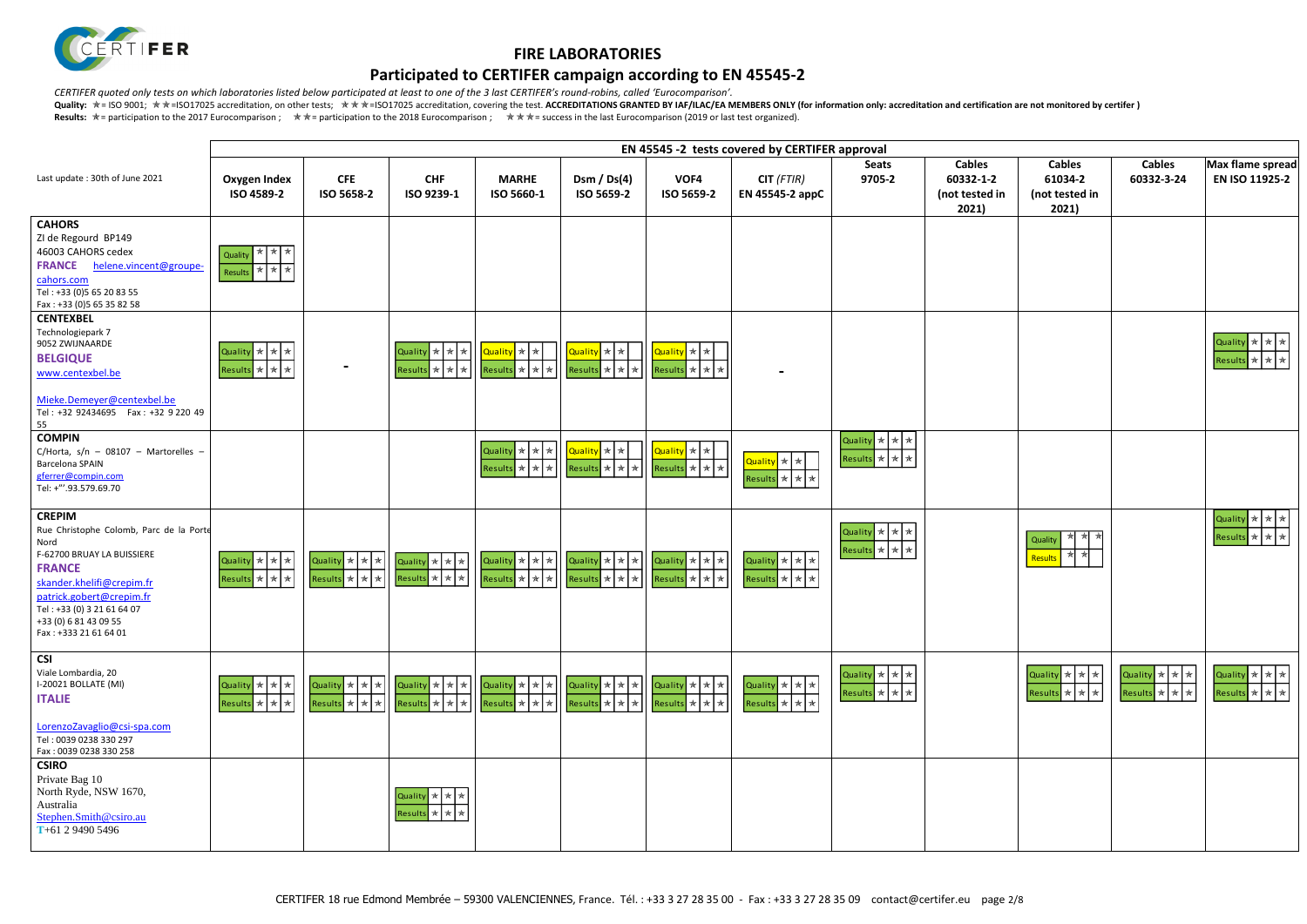

## **Participated to CERTIFER campaign according to EN 45545-2**

*CERTIFER quoted only tests on which laboratories listed below participated at least to one of the 3 last CERTIFER's round-robins, called 'Eurocomparison'.*

| $-2$<br>d in | <b>Cables</b><br>61034-2<br>(not tested in<br>2021)                                                           | <b>Cables</b><br>60332-3-24                                                                 | Max flame spread<br>EN ISO 11925-2                                                                                                     |
|--------------|---------------------------------------------------------------------------------------------------------------|---------------------------------------------------------------------------------------------|----------------------------------------------------------------------------------------------------------------------------------------|
|              |                                                                                                               |                                                                                             |                                                                                                                                        |
|              |                                                                                                               |                                                                                             | $\,$ $\,$ $\,$ $\,$<br>Quality<br>$\mathbf{\star}$<br>$\displaystyle\star$<br>Results   *<br>$\displaystyle\quadstar$<br>$\ast$        |
|              |                                                                                                               |                                                                                             |                                                                                                                                        |
|              | ★<br>★<br>₩<br>Quality<br>$\frac{1}{N}$<br>泽<br>Results                                                       |                                                                                             | $\color{blue}\bigstar$<br>Quality<br>$\mathrel{{\star}\hspace{-0.5ex}{\star}}$<br>★<br>Results *<br>★<br>$\mathbin{\mathbin{\rtimes}}$ |
|              | $\mathbf{\star}$<br>Quality<br>$\mathbf{\mathbf{\star}}$<br>★<br>Results *<br>$\star$<br>$\displaystyle\star$ | Quality<br>$\pmb{\star}$<br>$\pmb{\ast}$<br>★<br>Results $\vert \star \vert$<br>$\ast$<br>★ | $\color{blue}\bigstar$<br>Quality<br>★<br>★<br>Results *<br>★<br>★                                                                     |
|              |                                                                                                               |                                                                                             |                                                                                                                                        |

|                                                                                                                                                                                                                                                          |                                                                    |                                                                |                                                                    |                                                                                |                                                                                                                                                                             |                                                                             | EN 45545 -2 tests covered by CERTIFER approval                     |                                                  |                                                       |
|----------------------------------------------------------------------------------------------------------------------------------------------------------------------------------------------------------------------------------------------------------|--------------------------------------------------------------------|----------------------------------------------------------------|--------------------------------------------------------------------|--------------------------------------------------------------------------------|-----------------------------------------------------------------------------------------------------------------------------------------------------------------------------|-----------------------------------------------------------------------------|--------------------------------------------------------------------|--------------------------------------------------|-------------------------------------------------------|
| Last update: 30th of June 2021                                                                                                                                                                                                                           | <b>Oxygen Index</b><br>ISO 4589-2                                  | <b>CFE</b><br>ISO 5658-2                                       | <b>CHF</b><br>ISO 9239-1                                           | <b>MARHE</b><br>ISO 5660-1                                                     | Dsm $/$ Ds(4)<br>ISO 5659-2                                                                                                                                                 | VOF4<br>ISO 5659-2                                                          | $CIT$ (FTIR)<br>EN 45545-2 appC                                    | <b>Seats</b><br>9705-2                           | <b>Cables</b><br>60332-1-2<br>(not tested in<br>2021) |
| <b>CAHORS</b><br>ZI de Regourd BP149<br>46003 CAHORS cedex<br><b>FRANCE</b><br>helene.vincent@groupe-<br>cahors.com<br>Tel: +33 (0)5 65 20 83 55<br>Fax: +33 (0)5 65 35 82 58                                                                            | * * *<br><b>Quality</b><br>* * *<br>Results                        |                                                                |                                                                    |                                                                                |                                                                                                                                                                             |                                                                             |                                                                    |                                                  |                                                       |
| <b>CENTEXBEL</b><br>Technologiepark 7<br>9052 ZWIJNAARDE<br><b>BELGIQUE</b><br>www.centexbel.be<br>Mieke.Demeyer@centexbel.be<br>Tel: +32 92434695    Fax: +32 9 220 49<br>55                                                                            | Quality $\star$ $\star$ $\star$<br>Results $\star$ $\star$ $\star$ |                                                                | Quality * * * *<br>Results $\star$ $\star$ $\star$                 | $\alpha$ uality $\left \ast\right $<br>Results $\star$ $\star$ $\star$         | L <mark>Quality</mark> * *<br>$\left  \text{Results} \right  \star \left  \star \right $                                                                                    | Quality * *<br>$\left $ Results $\left \star\right \star\left \star\right $ |                                                                    |                                                  |                                                       |
| <b>COMPIN</b><br>C/Horta, $s/n - 08107 -$ Martorelles -<br><b>Barcelona SPAIN</b><br>gferrer@compin.com<br>Tel: +"'.93.579.69.70                                                                                                                         |                                                                    |                                                                |                                                                    | Quality $\star$ $\star$ $\star$ $\parallel$<br>Results $\star$ $\star$ $\star$ | Quality * *<br>$\left \mathsf{Results}\right  \star \left  \star \right  \star$                                                                                             | Quality * *<br>$Results$ * * * *                                            | Quality * *<br>Results $\star$ $\star$ $\star$                     | Quality * * *<br>Results * * *                   |                                                       |
| <b>CREPIM</b><br>Rue Christophe Colomb, Parc de la Porte<br>Nord<br>F-62700 BRUAY LA BUISSIERE<br><b>FRANCE</b><br>skander.khelifi@crepim.fr<br>patrick.gobert@crepim.fr<br>Tel: +33 (0) 3 21 61 64 07<br>+33 (0) 6 81 43 09 55<br>Fax: +333 21 61 64 01 | Quality $\star$ $\star$ $\star$<br>Results $\star$ $\star$ $\star$ | Quality * * *<br>Results $\star$ $\star$ $\star$               | Quality $\star$ $\star$ $\star$<br>Results $\star$ $\star$ $\star$ | Quality $\star$ $\star$ $\star$<br>Results $\star$ $\star$ $\star$             | Quality $\star$ $\star$ $\star$<br>$\left \mathsf{Results}\right  \star \left  \star \right  \star$                                                                         | Quality * * *<br>$Results$ $\star$ $\star$ $\star$                          | Quality $\star$ $\star$ $\star$<br>Results $\star$ $\star$ $\star$ | Quality * * *<br>Results $\star$ $\star$ $\star$ |                                                       |
| <b>CSI</b><br>Viale Lombardia, 20<br>I-20021 BOLLATE (MI)<br><b>ITALIE</b><br>LorenzoZavaglio@csi-spa.com<br>Tel: 0039 0238 330 297                                                                                                                      | Quality * * *<br>Results * * *                                     | Quality $\star$ $\star$ $\star$<br>Results $\star \star \star$ | Quality $\star$ $\star$ $\star$<br>Results $\star$ $\star$ $\star$ | Results $\star$ $\star$ $\star$                                                | Quality $\star$ $\star$ $\star$ $\vert \cdot \vert$ Quality $\star$ $\star$ $\star$ $\vert \star \vert$<br>$\left \mathsf{Results}\right  \star \left  \star \right  \star$ | Quality $\star$ $\star$ $\star$<br>Results $\star$ $\star$ $\star$          | Quality $\star$ $\star$ $\star$<br>Results $\star$ $\star$ $\star$ | Quality * * *<br>Results $\star$ $\star$         |                                                       |
| Fax: 0039 0238 330 258<br><b>CSIRO</b><br>Private Bag 10<br>North Ryde, NSW 1670,<br>Australia<br>Stephen.Smith@csiro.au<br>T+61 2 9490 5496                                                                                                             |                                                                    |                                                                | Quality $\star$ $\star$ $\star$<br>Results $\star$ $\star$ $\star$ |                                                                                |                                                                                                                                                                             |                                                                             |                                                                    |                                                  |                                                       |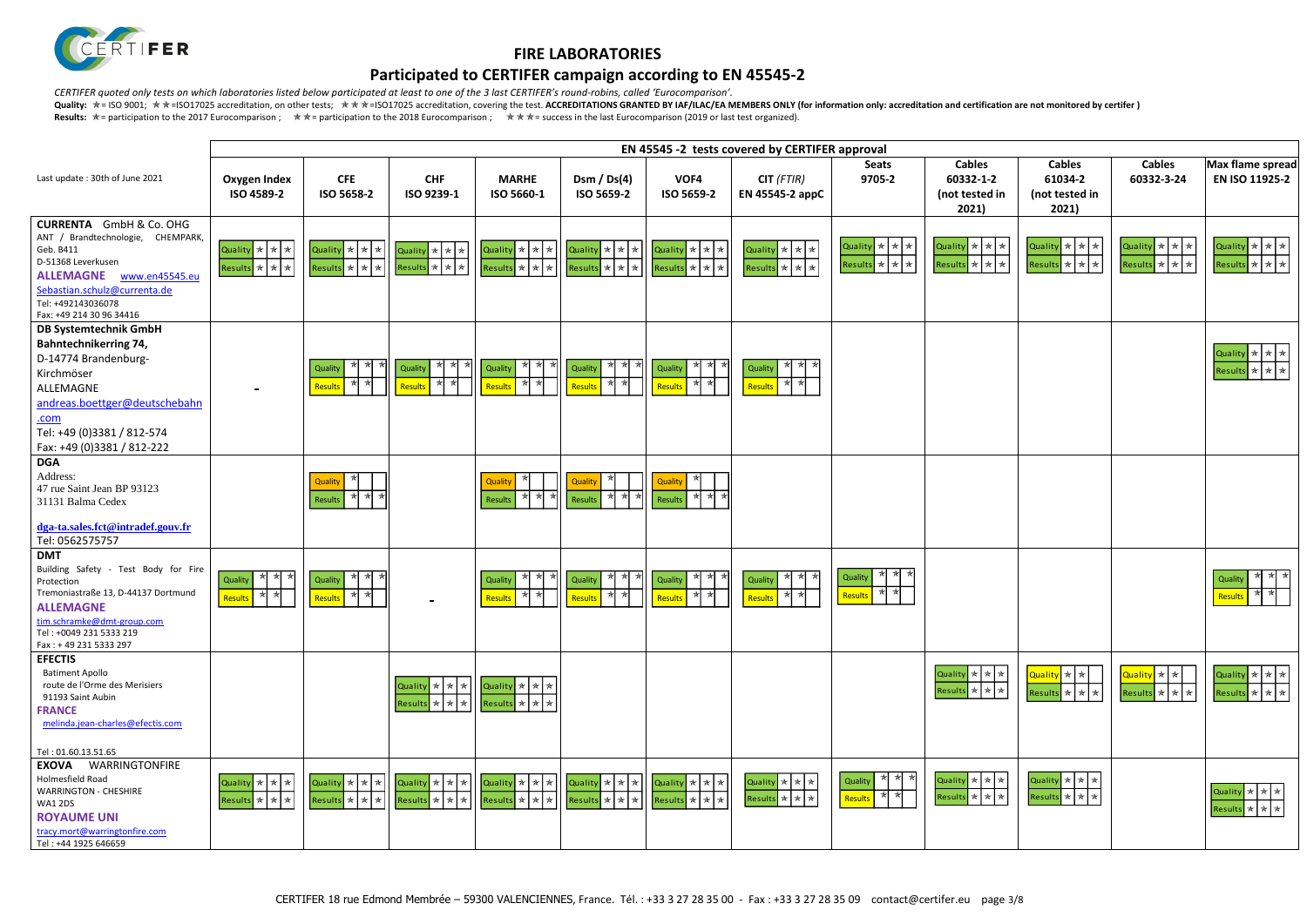

## **Participated to CERTIFER campaign according to EN 45545-2**

*CERTIFER quoted only tests on which laboratories listed below participated at least to one of the 3 last CERTIFER's round-robins, called 'Eurocomparison'.*

|                                                                                                                                                                                                                                |                                                  |                                                                    |                                                  |                                                                                   |                                                       |                                                                    | EN 45545 -2 tests covered by CERTIFER approval                     |                                                  |                                                                                    |
|--------------------------------------------------------------------------------------------------------------------------------------------------------------------------------------------------------------------------------|--------------------------------------------------|--------------------------------------------------------------------|--------------------------------------------------|-----------------------------------------------------------------------------------|-------------------------------------------------------|--------------------------------------------------------------------|--------------------------------------------------------------------|--------------------------------------------------|------------------------------------------------------------------------------------|
| Last update: 30th of June 2021                                                                                                                                                                                                 | <b>Oxygen Index</b><br>ISO 4589-2                | <b>CFE</b><br>ISO 5658-2                                           | <b>CHF</b><br>ISO 9239-1                         | <b>MARHE</b><br>ISO 5660-1                                                        | Dsm / $Ds(4)$<br>ISO 5659-2                           | VOF4<br>ISO 5659-2                                                 | $CIT$ (FTIR)<br>EN 45545-2 appC                                    | <b>Seats</b><br>9705-2                           | <b>Cables</b><br>60332-1-2<br>(not tested in<br>2021)                              |
| <b>CURRENTA</b> GmbH & Co. OHG<br>ANT / Brandtechnologie, CHEMPARK,<br>Geb. B411<br>D-51368 Leverkusen<br><b>ALLEMAGNE</b><br>www.en45545.eu<br>Sebastian.schulz@currenta.de<br>Tel: +492143036078<br>Fax: +49 214 30 96 34416 | Quality * * *<br>Results $\star$ $\star$ $\star$ | Quality $\star$ $\star$ $\star$<br>Results $\star$ $\star$ $\star$ | Quality $\star$ $\star$ $\star$<br>Results * * * | Quality $\star$ $\star$ $\star$<br>Results $\star$ $\star$ $\star$                | Quality $\star$ $\star$ $\star$<br>$Results \times x$ | Quality $\star$ $\star$ $\star$<br>Results $\star$ $\star$ $\star$ | Quality $\star$ $\star$ $\star$<br>Results $\star$ $\star$ $\star$ | Quality $\star$ $\star$ $\star$<br>Results * * * | Quality * * *<br>Results * * *                                                     |
| <b>DB Systemtechnik GmbH</b><br><b>Bahntechnikerring 74,</b><br>D-14774 Brandenburg-<br>Kirchmöser<br>ALLEMAGNE<br>andreas.boettger@deutschebahn<br>.com<br>Tel: +49 (0)3381 / 812-574<br>Fax: +49 (0)3381 / 812-222           |                                                  | ा ≫<br>া*<br>Quality<br>★<br>Results                               | ★<br>∗<br>大<br>Quality<br>₩<br>₩<br>Results      | ★<br>∗<br>- 74<br>Quality<br>*<br>∗<br>Results                                    | ★ ★<br>★<br>Quality<br>★<br>★<br>Results              | ★  ★ <br>★<br>Quality<br>₩<br>Results                              | * * *<br>Quality<br>₩<br>*<br>Results                              |                                                  |                                                                                    |
| <b>DGA</b><br>Address:<br>47 rue Saint Jean BP 93123<br>31131 Balma Cedex<br>dga-ta.sales.fct@intradef.gouv.fr<br>Tel: 0562575757                                                                                              |                                                  | ★<br>Quality<br>★<br>Results                                       |                                                  | ★<br>Quality<br>*<br>∗<br>Results                                                 | Quality<br>*<br>Results                               | ★<br>Quality<br>★<br>∗<br>$\star$<br>Results                       |                                                                    |                                                  |                                                                                    |
| <b>DMT</b><br>Building Safety - Test Body for Fire<br>Protection<br>Tremoniastraße 13, D-44137 Dortmund<br><b>ALLEMAGNE</b><br>tim.schramke@dmt-group.com<br>Tel: +0049 231 5333 219<br>Fax: +49 231 5333 297                  | $*$<br>★<br>Quality<br>₩<br>★<br>Results         | ★<br>★<br>★<br>Quality<br>★<br>★<br>Results                        |                                                  | ォ<br>*<br>女<br>Quality<br>★<br>★<br>Results                                       | ₩<br>★<br>Quality<br>₩<br>★<br>Results                | ★ ★<br>∗<br>Quality<br>₩<br>Results                                | ₩<br>★<br>Quality<br>₩<br>★<br>Results                             | * *<br>Quality<br>★<br>₩<br>Results              |                                                                                    |
| <b>EFECTIS</b><br><b>Batiment Apollo</b><br>route de l'Orme des Merisiers<br>91193 Saint Aubin<br><b>FRANCE</b><br>melinda.jean-charles@efectis.com                                                                            |                                                  |                                                                    | Quality * *<br>$*$<br>Results * * *              | Quality * * *<br>Results $\star$ $\star$ $\star$                                  |                                                       |                                                                    |                                                                    |                                                  | ★ ★<br>Quality<br>*<br>* * *<br><b>Results</b>                                     |
| Tel: 01.60.13.51.65<br>WARRINGTONFIRE<br><b>EXOVA</b><br>Holmesfield Road<br><b>WARRINGTON - CHESHIRE</b><br><b>WA1 2DS</b><br><b>ROYAUME UNI</b><br>tracy.mort@warringtonfire.com<br>Tel: +44 1925 646659                     | Quality * * *<br>Results * * *                   | Quality * * *<br>Results $\star$ $\star$ $\star$                   | Quality * * *<br>Results * * *                   | Quality * * *<br>$\left  \text{Results} \right  \star \left  \star \right  \star$ | Quality * * *<br>Results * * *                        | Quality * * *<br>Results * * *                                     | Quality * * *<br>Results $\star$ $\star$ $\star$                   | ₩<br>★<br>₩<br>Quality<br>₩<br>Results           | Quality $\star$ $\star$ $\star$<br>★ ★<br>$\mathbin{\mathbin{\rtimes}}$<br>Results |

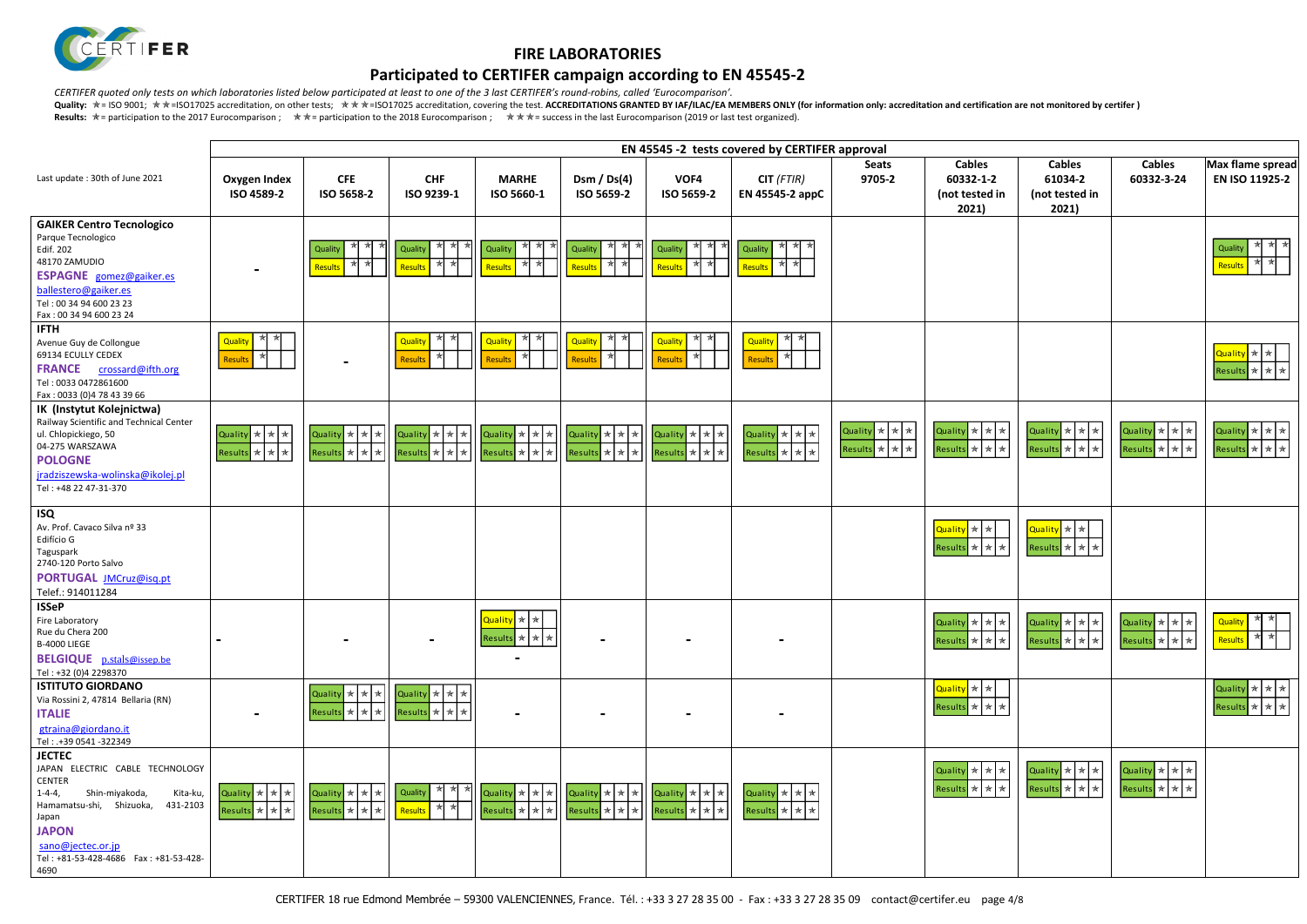

## **Participated to CERTIFER campaign according to EN 45545-2**

*CERTIFER quoted only tests on which laboratories listed below participated at least to one of the 3 last CERTIFER's round-robins, called 'Eurocomparison'.*

|                                                                                                                                                                                                                                                           |                                                                    |                                                                                                            |                                                                       |                                                                                                                                |                                                                                       |                                                  | EN 45545 -2 tests covered by CERTIFER approval                     |                                                  |                                                       |                                                                                                                                          |                                                                           |                                                                                                                                    |
|-----------------------------------------------------------------------------------------------------------------------------------------------------------------------------------------------------------------------------------------------------------|--------------------------------------------------------------------|------------------------------------------------------------------------------------------------------------|-----------------------------------------------------------------------|--------------------------------------------------------------------------------------------------------------------------------|---------------------------------------------------------------------------------------|--------------------------------------------------|--------------------------------------------------------------------|--------------------------------------------------|-------------------------------------------------------|------------------------------------------------------------------------------------------------------------------------------------------|---------------------------------------------------------------------------|------------------------------------------------------------------------------------------------------------------------------------|
| Last update: 30th of June 2021                                                                                                                                                                                                                            | Oxygen Index<br>ISO 4589-2                                         | <b>CFE</b><br>ISO 5658-2                                                                                   | <b>CHF</b><br>ISO 9239-1                                              | <b>MARHE</b><br>ISO 5660-1                                                                                                     | Dsm / $Ds(4)$<br>ISO 5659-2                                                           | VOF4<br>ISO 5659-2                               | $CIT$ (FTIR)<br>EN 45545-2 appC                                    | <b>Seats</b><br>9705-2                           | <b>Cables</b><br>60332-1-2<br>(not tested in<br>2021) | <b>Cables</b><br>61034-2<br>(not tested in<br>2021)                                                                                      | <b>Cables</b><br>60332-3-24                                               | Max flame spread<br>EN ISO 11925-2                                                                                                 |
| <b>GAIKER Centro Tecnologico</b><br>Parque Tecnologico<br>Edif. 202<br>48170 ZAMUDIO<br>ESPAGNE gomez@gaiker.es<br>ballestero@gaiker.es<br>Tel: 00 34 94 600 23 23<br>Fax: 00 34 94 600 23 24                                                             |                                                                    | ★ ★<br>Quality<br>* *<br>Results                                                                           | ★ ★<br>★<br>Quality<br>  ★ ★<br>Results                               | ★<br>∗<br>Quality<br>★ ★<br><b>Results</b>                                                                                     | * * *<br>Quality<br>$\star$<br>★<br>Results                                           | ∗<br>Quality<br>$\star$<br>Results               | * * 1<br>Quality<br>Results                                        |                                                  |                                                       |                                                                                                                                          |                                                                           | Quality<br>Result                                                                                                                  |
| <b>IFTH</b><br>Avenue Guy de Collongue<br>69134 ECULLY CEDEX<br><b>FRANCE</b><br>crossard@ifth.org<br>Tel: 0033 0472861600<br>Fax: 0033 (0)4 78 43 39 66                                                                                                  | -≵<br>Quality<br>Results                                           | $\blacksquare$                                                                                             | ★ ★<br><b>Quality</b><br>∗<br>Results                                 | ★<br><b>Quality</b><br>∗kl<br><b>Results</b>                                                                                   | 丼<br>Quality<br>Results                                                               | ₩<br><b>Quality</b><br>★<br>Results              | Quality<br><b>Results</b>                                          |                                                  |                                                       |                                                                                                                                          |                                                                           | $Quality  x $<br>Results $\star \star \star$                                                                                       |
| IK (Instytut Kolejnictwa)<br>Railway Scientific and Technical Center<br>ul. Chlopickiego, 50<br>04-275 WARSZAWA<br><b>POLOGNE</b><br>jradziszewska-wolinska@ikolej.pl<br>Tel: +48 22 47-31-370                                                            | Quality $\star$ $\star$ $\star$<br>Results $\star$ $\star$ $\star$ | Quality $\star$ $\star$ $\star$ $\parallel$<br>Results $\star$ $\star$ $\star$                             | Quality $\star$ $\star$ $\star$<br>Results $\star$ $\star$ $\star$    | Quality $\star$ $\star$ $\star$<br>$Results$ $\star$ $\star$ $\star$                                                           | Quality $\star$ $\star$ $\star$<br>$\sqrt{\mathsf{Results}}$ * * *                    | Quality * * *<br>* * *<br>Results                | Quality $\star$ $\star$ $\star$<br>Results * * *                   | Quality * * *<br>Results $\star$ $\star$ $\star$ | Quality *<br>* *<br>Results * * *                     | Quality $\star$ $\star$ $\star$<br>Results $\star$ $\star$ $\star$                                                                       | Quality $\star$ $\star$ $\star$<br>Results $\star$ $\star$ $\star$        | Quality $\left \ast\right $ $\left \ast\right $ $\left \ast\right $<br>Results $\mathbf{r}$ $\mathbf{r}$ $\mathbf{r}$ $\mathbf{r}$ |
| <b>ISQ</b><br>Av. Prof. Cavaco Silva nº 33<br>Edifício G<br>Taguspark<br>2740-120 Porto Salvo<br>PORTUGAL JMCruz@isq.pt<br>Telef.: 914011284                                                                                                              |                                                                    |                                                                                                            |                                                                       |                                                                                                                                |                                                                                       |                                                  |                                                                    |                                                  | Quality *<br>$\star$<br>Results *<br>★ ★              | $\overline{$ Quality $\overline{\mathbf{x}}$ $\overline{\mathbf{x}}$<br>Results $\star$ $\star$ $\star$                                  |                                                                           |                                                                                                                                    |
| <b>ISSeP</b><br>Fire Laboratory<br>Rue du Chera 200<br><b>B-4000 LIEGE</b><br><b>BELGIQUE</b> p.stals@issep.be<br>Tel: +32 (0)4 2298370                                                                                                                   |                                                                    |                                                                                                            |                                                                       | $\alpha$ uality $\left  \frac{1}{N} \right  \frac{1}{N}$<br>Results $\star$ $\star$ $\star$                                    |                                                                                       |                                                  |                                                                    |                                                  | Results * * *                                         | Quality $\star$ $\star$ $\star$ $\left  \star \right $ Quality $\star$ $\star$ $\left  \star \right $<br>Results $\star$ $\star$ $\star$ | Quality $\mathbf{R} \times \mathbf{R}$<br>Results $\star$ $\star$ $\star$ | Quality <b>*</b> *<br>Results * *                                                                                                  |
| <b>ISTITUTO GIORDANO</b><br>Via Rossini 2, 47814 Bellaria (RN)<br><b>ITALIE</b><br>gtraina@giordano.it<br>Tel: .+39 0541 -322349                                                                                                                          |                                                                    | Quality $\star$ $\star$ $\star$<br>Results $\star$ $\star$ $\star$ $\parallel$                             | Quality $\star$ $\star$ $\star$<br>Results * * * *                    |                                                                                                                                |                                                                                       |                                                  |                                                                    |                                                  | Quality <mark>★ ★</mark><br>Results * * *             |                                                                                                                                          |                                                                           | Quality $\star$ $\star$ $\star$<br>Results $\star \star \star$                                                                     |
| <b>JECTEC</b><br>JAPAN ELECTRIC CABLE TECHNOLOGY<br><b>CENTER</b><br>Shin-miyakoda,<br>Kita-ku,<br>$1 - 4 - 4,$<br>Hamamatsu-shi, Shizuoka,<br>431-2103<br>Japan<br><b>JAPON</b><br>sano@jectec.or.jp<br>Tel: +81-53-428-4686    Fax: +81-53-428-<br>4690 | Quality $\star$ $\star$ $\star$<br>Results $\star$ $\star$ $\star$ | Quality $\star$ $\star$ $\star$ $\parallel$<br>$\left \text{Results}\; \; \star \; \; \star \; \; \right $ | * * *<br>Quality<br>$R$ esults $\mathbb{R}$ $\mathbb{R}$ $\mathbb{R}$ | Quality $\star$ $\star$ $\star$ $\parallel$<br>$\left \mathsf{Results}\right  \star \left  \star \right  \left  \star \right $ | Quality $\star$ $\star$ $\star$ $\parallel$<br>Results $\star$ $\star$ $\star$ $\mid$ | Quality * * *<br>Results $\star$ $\star$ $\star$ | Quality $\star$ $\star$ $\star$<br>Results $\star$ $\star$ $\star$ |                                                  | Quality *<br>★ ★<br>Results * * *                     | Quality $\star$ $\star$ $\star$<br>$\overline{\text{Results}}$ * * *                                                                     | Quality $\star$ $\star$ $\star$<br>Results $\star$ $\star$ $\star$        |                                                                                                                                    |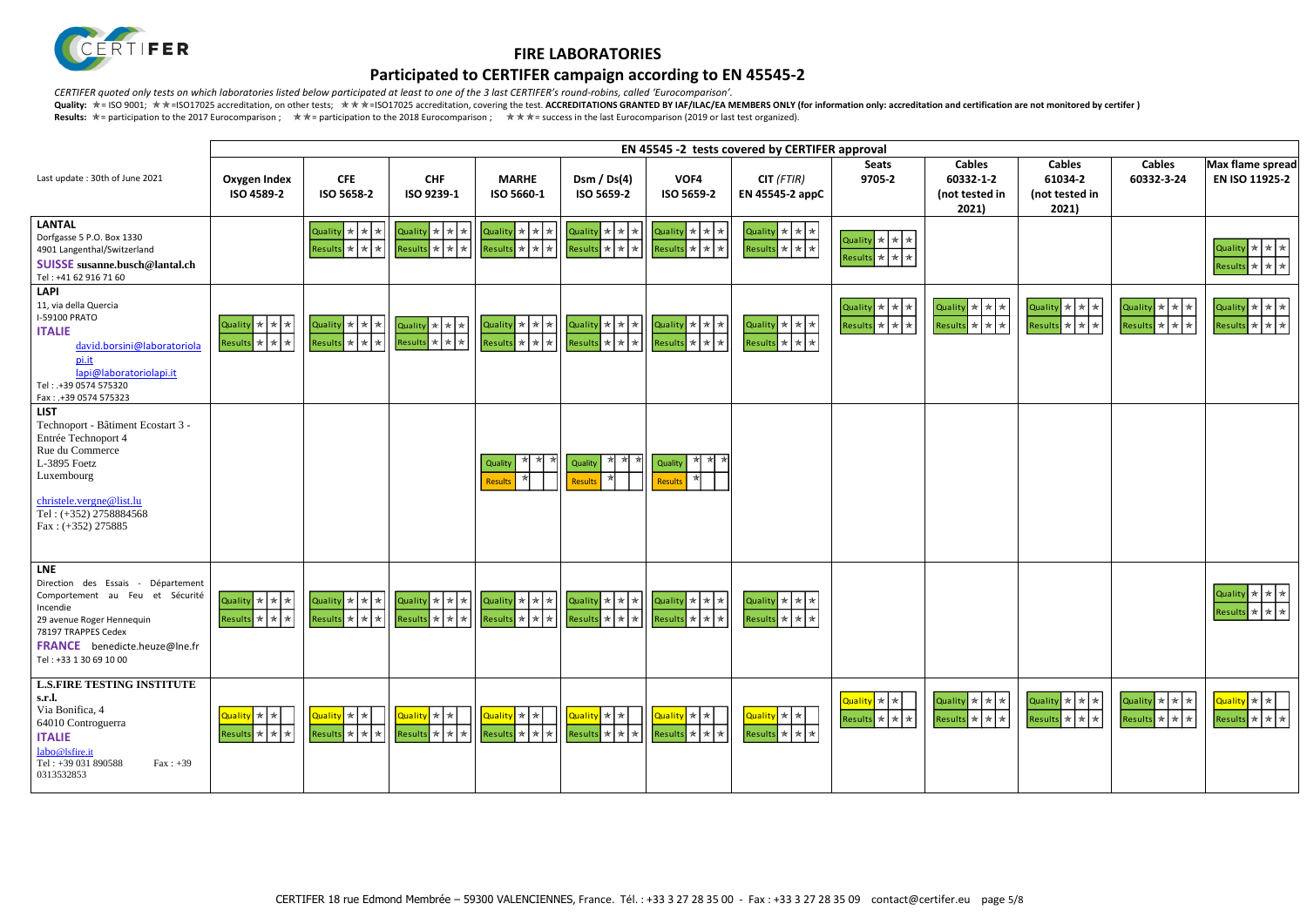

## **Participated to CERTIFER campaign according to EN 45545-2**

*CERTIFER quoted only tests on which laboratories listed below participated at least to one of the 3 last CERTIFER's round-robins, called 'Eurocomparison'.*

| $-2$<br>d in          | <b>Cables</b><br>61034-2<br>(not tested in<br>2021)                                  | <b>Cables</b><br>60332-3-24                                  | Max flame spread<br>EN ISO 11925-2                                     |
|-----------------------|--------------------------------------------------------------------------------------|--------------------------------------------------------------|------------------------------------------------------------------------|
|                       |                                                                                      |                                                              | Quality<br>$\color{blue}\bigstar$<br>★<br>★<br>Results *<br>★<br>★     |
| A.<br>★<br>A.<br>★    | Quality<br>$\ast$<br>$\star$<br>★<br>$\star$<br><b>Results</b><br>$\star$<br>$\star$ | Quality<br>$ \ast $<br>$*$<br>★<br>Results *<br>$\star$<br>★ | Quality<br>$\mathbf{\ast}$<br>★<br>★<br>Results *<br>$\star$<br>★      |
|                       |                                                                                      |                                                              |                                                                        |
|                       |                                                                                      |                                                              | Quality $\left \ast\right $<br>★<br>★<br><b>Results</b><br>★<br>★<br>★ |
| k<br>★<br>A<br>$\ast$ | ★<br>Quality<br>★<br>★<br>★<br>★<br>★<br><b>Results</b>                              | Quality<br>★<br>★<br>★<br><b>Results</b><br>  ★<br>★<br>★    | Quality *<br>★<br>$*$<br><b>Results</b><br>★<br>★                      |

|                                                                                                                                                                                                                | EN 45545 -2 tests covered by CERTIFER approval              |                                                                    |                                                                                                                 |                                                                    |                                                                            |                                                                                  |                                                                    |                                                                    |                                                       |
|----------------------------------------------------------------------------------------------------------------------------------------------------------------------------------------------------------------|-------------------------------------------------------------|--------------------------------------------------------------------|-----------------------------------------------------------------------------------------------------------------|--------------------------------------------------------------------|----------------------------------------------------------------------------|----------------------------------------------------------------------------------|--------------------------------------------------------------------|--------------------------------------------------------------------|-------------------------------------------------------|
| Last update: 30th of June 2021                                                                                                                                                                                 | Oxygen Index<br>ISO 4589-2                                  | <b>CFE</b><br>ISO 5658-2                                           | <b>CHF</b><br>ISO 9239-1                                                                                        | <b>MARHE</b><br>ISO 5660-1                                         | Dsm / $Ds(4)$<br>ISO 5659-2                                                | VOF4<br>ISO 5659-2                                                               | $CIT$ (FTIR)<br>EN 45545-2 appC                                    | <b>Seats</b><br>9705-2                                             | <b>Cables</b><br>60332-1-2<br>(not tested in<br>2021) |
| <b>LANTAL</b><br>Dorfgasse 5 P.O. Box 1330<br>4901 Langenthal/Switzerland<br><b>SUISSE</b> susanne.busch@lantal.ch<br>Tel: +41 62 916 71 60                                                                    |                                                             | Quality * * *<br>Results $\star$ $\star$ $\star$                   | Quality $\star$ $\star$ $\star$<br>Results $\mathbf{r} \times \mathbf{r}$                                       | Quality $\star$ $\star$ $\star$<br>Results $\star$ $\star$ $\star$ | Quality * * *<br>Results * * *                                             | $\alpha$ uality $\frac{1}{\alpha}$ $\frac{1}{\alpha}$<br>Results * * *           | Quality $\star$ $\star$ $\star$<br>Results $\star$ $\star$ $\star$ | Quality $\star$ $\star$ $\star$<br>Results $\star$ $\star$ $\star$ |                                                       |
| <b>LAPI</b><br>11, via della Quercia<br><b>I-59100 PRATO</b><br><b>ITALIE</b><br>david.borsini@laboratoriola<br>pi.it<br>lapi@laboratoriolapi.it<br>Tel: .+39 0574 575320<br>Fax: .+39 0574 575323             | Quality * * *<br>Results $\star$ $\star$ $\star$            | Quality $\star$ $\star$ $\star$<br>Results $\star$ $\star$ $\star$ | Quality $\star$ $\star$ $\star$<br>Results $\frac{1}{\sqrt{2}}$ $\frac{1}{\sqrt{2}}$                            | Quality $\star$ $\star$ $\star$<br>Results $\star$ $\star$ $\star$ | $\alpha$ uality $\star$ $\star$ $\star$<br>Results $\star$ $\star$ $\star$ | $\boxed{\text{Quality}} \times \times \times$<br>Results $\star$ $\star$ $\star$ | Quality $\star$ $\star$ $\star$<br>Results $\star$ $\star$ $\star$ | Quality * * *<br>Results * * *                                     | Quality ★ ★ ★<br>Results * * *                        |
| <b>LIST</b><br>Technoport - Bâtiment Ecostart 3 -<br>Entrée Technoport 4<br>Rue du Commerce<br>L-3895 Foetz<br>Luxembourg<br>christele.vergne@list.lu<br>Tel: (+352) 2758884568<br>Fax: $(+352)$ 275885        |                                                             |                                                                    |                                                                                                                 | ★<br>★<br>Quality<br><b>Results</b>                                | ★ ★<br>★<br>Quality<br>Results                                             | ★ ★ ★<br>Quality<br><b>Results</b>                                               |                                                                    |                                                                    |                                                       |
| <b>LNE</b><br>Direction des Essais - Département<br>Comportement au Feu et Sécurité<br>Incendie<br>29 avenue Roger Hennequin<br>78197 TRAPPES Cedex<br>FRANCE benedicte.heuze@lne.fr<br>Tel: +33 1 30 69 10 00 | Quality * * *<br>Results $\star$ $\star$ $\star$            | Quality $\star$ $\star$ $\star$<br>Results $\star$ $\star$ $\star$ | Quality * * *<br>Results $\star$ $\star$ $\star$                                                                | Quality $\star$ $\star$ $\star$<br>Results $\star$ $\star$ $\star$ | Quality $\star$ $\star$ $\star$<br>Results $\star$ $\star$ $\star$         | Quality * * * *<br>Results $\star$ $\star$ $\star$                               | Quality * * *<br>Results * * *                                     |                                                                    |                                                       |
| <b>L.S.FIRE TESTING INSTITUTE</b><br>s.r.l.<br>Via Bonifica, 4<br>64010 Controguerra<br><b>ITALIE</b><br>labo@lsfire.it<br>Tel: +39 031 890588<br>$Fax: +39$<br>0313532853                                     | Quality * * <del>X</del><br>Results $\star$ $\star$ $\star$ | Quality   *   *  <br>Results $\star$ $\star$ $\star$               | $\overline{\left $ Quality $\left  \ast \right  \ast \left  \right. \right $<br>Results $\star$ $\star$ $\star$ | Quality * *<br>Results $\star$ $\star$ $\star$                     | Quality * *<br>Results $\star$ $\star$ $\star$                             | <mark>Quality</mark> ★ ★<br>Results $\star$ $\star$ $\star$                      | Quality * *<br>Results $\star$ $\star$ $\star$                     | Quality * *<br>Results $\star$ $\star$ $\star$                     | Quality * * *<br>Results * * *                        |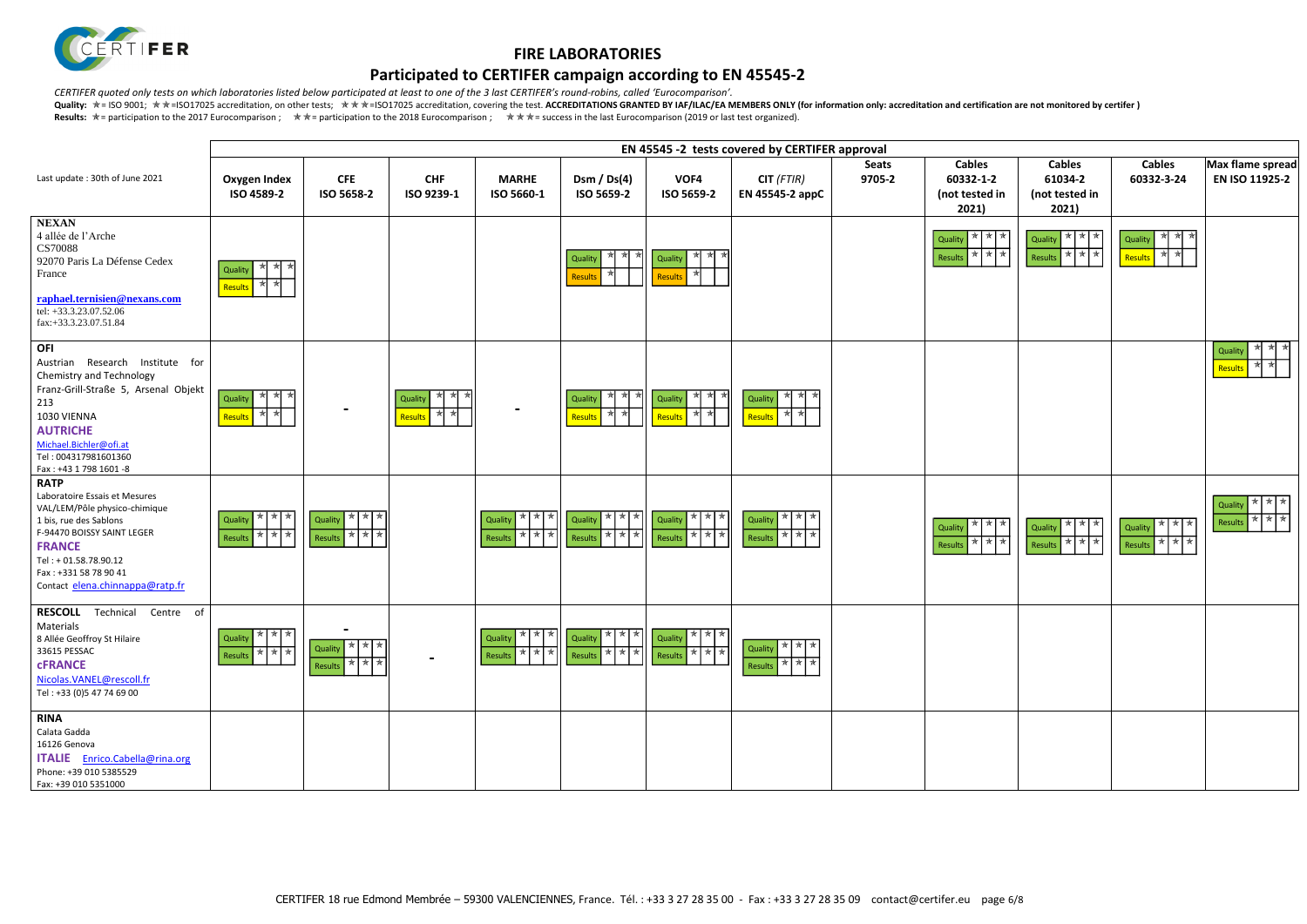

# **Participated to CERTIFER campaign according to EN 45545-2**

*CERTIFER quoted only tests on which laboratories listed below participated at least to one of the 3 last CERTIFER's round-robins, called 'Eurocomparison'.*



|                                                                                                                                                                                                                                            |                                                |                                             |                                                |                                                                  |                                                                                                                                         |                                                                       | EN 45545 -2 tests covered by CERTIFER approval |                        |                                                       |
|--------------------------------------------------------------------------------------------------------------------------------------------------------------------------------------------------------------------------------------------|------------------------------------------------|---------------------------------------------|------------------------------------------------|------------------------------------------------------------------|-----------------------------------------------------------------------------------------------------------------------------------------|-----------------------------------------------------------------------|------------------------------------------------|------------------------|-------------------------------------------------------|
| Last update: 30th of June 2021                                                                                                                                                                                                             | <b>Oxygen Index</b><br>ISO 4589-2              | <b>CFE</b><br>ISO 5658-2                    | <b>CHF</b><br>ISO 9239-1                       | <b>MARHE</b><br>ISO 5660-1                                       | Dsm / $Ds(4)$<br>ISO 5659-2                                                                                                             | VOF4<br>ISO 5659-2                                                    | $CIT$ (FTIR)<br>EN 45545-2 appC                | <b>Seats</b><br>9705-2 | <b>Cables</b><br>60332-1-2<br>(not tested in<br>2021) |
| <b>NEXAN</b><br>4 allée de l'Arche<br><b>CS70088</b><br>92070 Paris La Défense Cedex<br>France<br>raphael.ternisien@nexans.com<br>tel: +33.3.23.07.52.06<br>fax:+33.3.23.07.51.84                                                          | ₩<br>★<br>Quality<br>∗<br>★<br>Results         |                                             |                                                |                                                                  | 顶<br>Quality<br><b>Results</b>                                                                                                          | ★<br>Quality<br>Results                                               |                                                |                        | * * *<br>Quality<br>* * *<br>Results                  |
| <b>OFI</b><br>Austrian Research Institute for<br>Chemistry and Technology<br>Franz-Grill-Straße 5, Arsenal Objekt<br>213<br>1030 VIENNA<br><b>AUTRICHE</b><br>Michael.Bichler@ofi.at<br>Tel: 004317981601360<br>Fax: +43 1 798 1601 -8     | ₩<br>★<br>*<br>Quality<br>₩<br>Results         |                                             | $*$<br>*<br>∗k<br>Quality<br>₩<br>黄<br>Results |                                                                  | ₩<br>*∣<br>人<br>Quality<br>₩<br>★<br>Results                                                                                            | ★ ★<br>∗<br>Quality<br>★<br>Results                                   | ★<br>★<br>Quality<br>₩<br>贪<br>Results         |                        |                                                       |
| <b>RATP</b><br>Laboratoire Essais et Mesures<br>VAL/LEM/Pôle physico-chimique<br>1 bis, rue des Sablons<br>F-94470 BOISSY SAINT LEGER<br><b>FRANCE</b><br>Tel: +01.58.78.90.12<br>Fax: +331 58 78 90 41<br>Contact elena.chinnappa@ratp.fr | ★ ★<br><b>★</b><br>Quality<br>★ ★ ★<br>Results | * * *<br>Quality<br>* * *<br>Results        |                                                | ★   ★  <br>★<br>Quality<br><b>★ ★</b><br>★<br>Results            | * * * *<br>Quality<br>  ★   ★<br>∗∣<br>Results                                                                                          | * * *<br>Quality<br>★ ★ ★<br>Results                                  | * * *<br>Quality<br>* * *<br>Results           |                        | * * *<br>Quality<br>* * *<br>Results                  |
| <b>RESCOLL</b><br>Technical<br>Centre of<br>Materials<br>8 Allée Geoffroy St Hilaire<br>33615 PESSAC<br><b>CFRANCE</b><br>Nicolas.VANEL@rescoll.fr<br>Tel: +33 (0)5 47 74 69 00                                                            | Quality * * *<br>* * *<br>Results              | * * *<br>Quality<br>* * *<br><b>Results</b> |                                                | Results $\overline{\star}$ $\overline{\star}$ $\overline{\star}$ | Quality $\left \ast\right $ $\left \ast\right $ $\left \ast\right $ Quality $\left \ast\right $ $\left \ast\right $<br>* * *<br>Results | Quality $\left \ast\right $ * $\left \ast\right $<br>* * *<br>Results | ★ ★ ★<br>Quality<br>* * *<br>Results           |                        |                                                       |
| <b>RINA</b><br>Calata Gadda<br>16126 Genova<br>ITALIE Enrico.Cabella@rina.org<br>Phone: +39 010 5385529<br>Fax: +39 010 5351000                                                                                                            |                                                |                                             |                                                |                                                                  |                                                                                                                                         |                                                                       |                                                |                        |                                                       |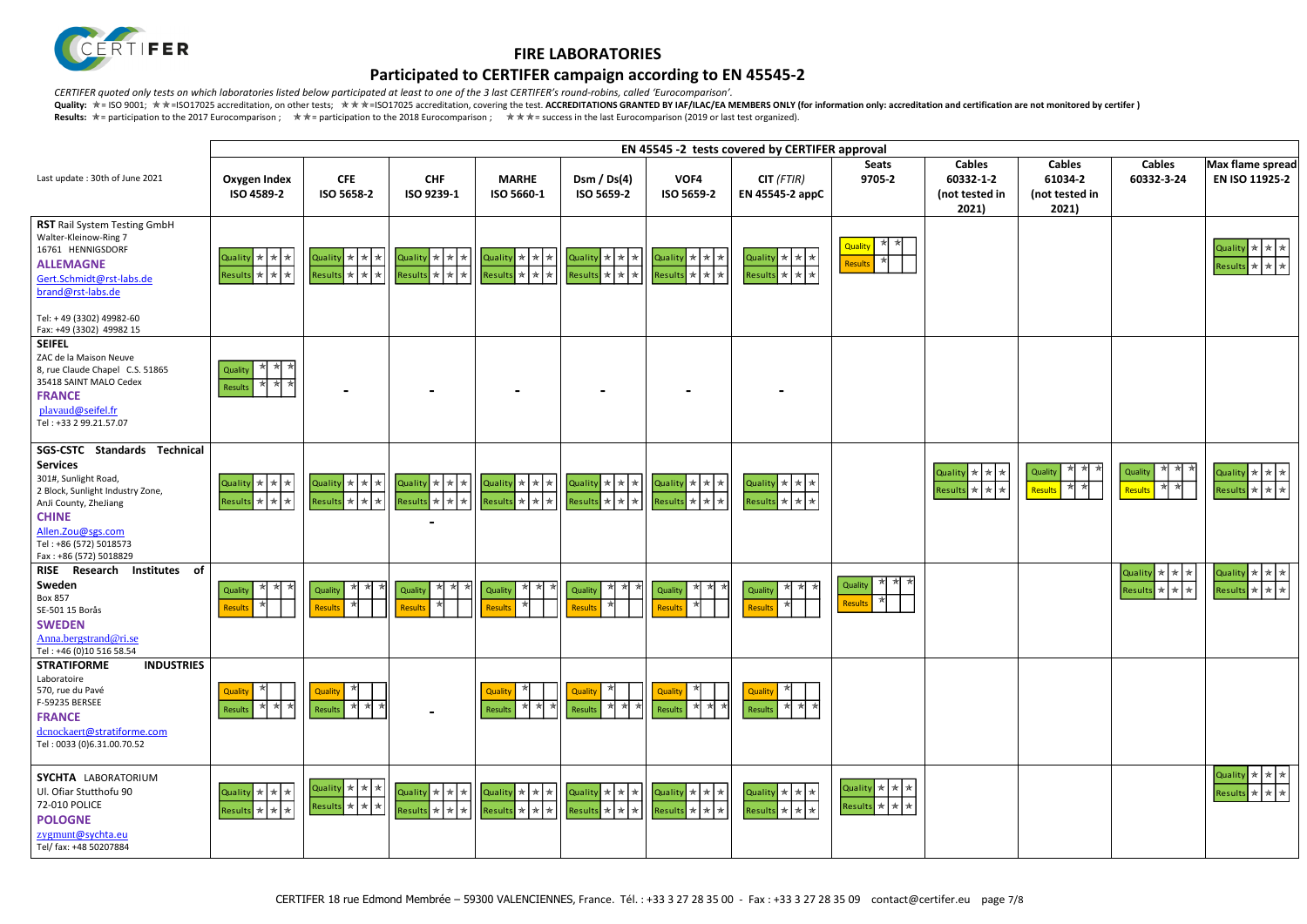

## **Participated to CERTIFER campaign according to EN 45545-2**

*CERTIFER quoted only tests on which laboratories listed below participated at least to one of the 3 last CERTIFER's round-robins, called 'Eurocomparison'.*

| $-2$<br>d in                           | <b>Cables</b><br>61034-2<br>(not tested in<br>2021) | <b>Cables</b><br>60332-3-24                                                                        | Max flame spread<br>EN ISO 11925-2                                                                                              |
|----------------------------------------|-----------------------------------------------------|----------------------------------------------------------------------------------------------------|---------------------------------------------------------------------------------------------------------------------------------|
|                                        |                                                     |                                                                                                    | Quality $\left \ast\right $<br>★<br>★<br>Results *<br>★<br>★                                                                    |
|                                        |                                                     |                                                                                                    |                                                                                                                                 |
| A.<br>$\color{red} \bigstar$<br>A<br>★ | ★<br>$\star$<br>★<br>Quality<br>泽<br>泽<br>Results   | ★<br>$\star$<br>★<br>Quality<br>$\star$<br>$\frac{1}{N}$<br>Results                                | $\color{blue}\star$<br>$\mathbf{\star}$<br>Quality<br>$\star$<br>Results<br>$\color{blue}\bigstar$<br>★<br>$\displaystyle\star$ |
|                                        |                                                     | Quality<br>$\pmb{\ast}$<br>$\color{blue}\star$<br>★<br>Results *<br>$\color{blue}\star$<br>$\star$ | $\color{blue}\bigstar$<br>Quality<br>$\star$<br>★<br>Results *<br>$\ast$<br>★                                                   |
|                                        |                                                     |                                                                                                    |                                                                                                                                 |
|                                        |                                                     |                                                                                                    | Quality<br>★<br>★<br>★<br>Results<br>★<br>★<br>$\star$                                                                          |

|                                                                                                                                                                                                                                | EN 45545 -2 tests covered by CERTIFER approval                                                    |                                                    |                                                                                 |                                                                    |                                                                    |                                                                    |                                                                    |                                |                                                       |
|--------------------------------------------------------------------------------------------------------------------------------------------------------------------------------------------------------------------------------|---------------------------------------------------------------------------------------------------|----------------------------------------------------|---------------------------------------------------------------------------------|--------------------------------------------------------------------|--------------------------------------------------------------------|--------------------------------------------------------------------|--------------------------------------------------------------------|--------------------------------|-------------------------------------------------------|
| Last update: 30th of June 2021                                                                                                                                                                                                 | <b>Oxygen Index</b><br>ISO 4589-2                                                                 | <b>CFE</b><br>ISO 5658-2                           | <b>CHF</b><br>ISO 9239-1                                                        | <b>MARHE</b><br>ISO 5660-1                                         | Dsm / $Ds(4)$<br>ISO 5659-2                                        | VOF4<br>ISO 5659-2                                                 | $CIT$ (FTIR)<br>EN 45545-2 appC                                    | <b>Seats</b><br>9705-2         | <b>Cables</b><br>60332-1-2<br>(not tested in<br>2021) |
| <b>RST</b> Rail System Testing GmbH<br>Walter-Kleinow-Ring 7<br>16761 HENNIGSDORF<br><b>ALLEMAGNE</b><br>Gert.Schmidt@rst-labs.de<br>brand@rst-labs.de                                                                         | Quality * * *<br>Results * * *                                                                    | Quality $\star$ $\star$ $\star$<br>Results * * * * | Quality $\star$ $\star$ $\star$<br>Results $\star$ $\star$ $\star$              | Quality $\star$ $\star$ $\star$<br>Results $\star$ $\star$ $\star$ | Quality $\star$ $\star$ $\star$<br>Results * * *                   | Quality $\star$ $\star$ $\star$<br>Results $\star$ $\star$ $\star$ | Quality $\star$ $\star$ $\star$<br>Results $\star$ $\star$ $\star$ | 责<br>Quality<br>₩<br>Results   |                                                       |
| Tel: +49 (3302) 49982-60<br>Fax: +49 (3302) 49982 15                                                                                                                                                                           |                                                                                                   |                                                    |                                                                                 |                                                                    |                                                                    |                                                                    |                                                                    |                                |                                                       |
| <b>SEIFEL</b><br>ZAC de la Maison Neuve<br>8, rue Claude Chapel C.S. 51865<br>35418 SAINT MALO Cedex<br><b>FRANCE</b><br>plavaud@seifel.fr<br>Tel: +33 2 99.21.57.07                                                           | ₩<br>₩<br>Quality<br>★<br>₩<br>Results                                                            |                                                    |                                                                                 |                                                                    |                                                                    |                                                                    |                                                                    |                                |                                                       |
| <b>Technical</b><br><b>SGS-CSTC</b><br><b>Standards</b><br><b>Services</b><br>301#, Sunlight Road,<br>2 Block, Sunlight Industry Zone,<br>AnJi County, ZheJiang<br><b>CHINE</b><br>Allen.Zou@sgs.com<br>Tel: +86 (572) 5018573 | Quality $\star$ $\star$ $\star$<br>Results * * *                                                  | Quality $\star$ $\star$ $\star$<br>Results * * *   | Quality * * * *<br>Results *<br>$*$                                             | Quality $\star$ $\star$ $\star$<br>Results $\star$ $\star$ $\star$ | Quality $\star$ $\star$ $\star$<br>Results $\star$ $\star$ $\star$ | Quality $\star$ $\star$ $\star$<br>Results $\star$ $\star$ $\star$ | Quality $\star$ $\star$ $\star$<br>Results $\star \star \star$     |                                | Quality * * *<br>Results * * *                        |
| Fax: +86 (572) 5018829<br>of<br><b>Institutes</b><br><b>RISE</b><br>Research<br>Sweden<br>Box 857<br>SE-501 15 Borås<br><b>SWEDEN</b><br>Anna.bergstrand@ri.se<br>Tel: +46 (0)10 516 58.54                                     | ★<br>*<br>₩<br>Quality<br><b>Results</b>                                                          | ∗<br>★<br>∗k<br>Quality<br>Results                 | ★<br>★<br>∗kl<br>Quality<br><b>Results</b>                                      | ★<br>₩<br>Quality<br>Results                                       | ★<br>₩<br>Quality<br><b>Results</b>                                | ★<br>★<br>★<br>Quality<br>Results                                  | ★ ★<br>₩<br>Quality<br><b>Results</b>                              | ₩<br>Quality<br><b>Results</b> |                                                       |
| <b>INDUSTRIES</b><br><b>STRATIFORME</b><br>Laboratoire<br>570, rue du Pavé<br>F-59235 BERSEE<br><b>FRANCE</b><br>dcnockaert@stratiforme.com<br>Tel: 0033 (0)6.31.00.70.52                                                      | ★<br>Quality<br>₩<br>★<br>Results                                                                 | Quality<br>★ ★<br>★<br>Results                     | $\qquad \qquad \blacksquare$                                                    | Quality<br>₩<br><b>Results</b>                                     | Quality<br>★<br>Results                                            | Quality<br>*  *<br>Results                                         | Quality<br>★<br>★<br>Results                                       |                                |                                                       |
| <b>SYCHTA LABORATORIUM</b><br>Ul. Ofiar Stutthofu 90<br>72-010 POLICE<br><b>POLOGNE</b><br>zygmunt@sychta.eu<br>Tel/ fax: +48 50207884                                                                                         | Quality $\star$ $\star$ $\star$<br>$\left \text{Results}\right  \star \left  \star \right  \star$ | Quality * * *  <br>Results $\star$ $\star$ $\star$ | Quality * * *<br>$\left \text{Results}\right  \star \left  \star \right  \star$ | Quality * * *<br>Results $\star$ $\star$ $\star$                   | Quality $\star$ $\star$ $\star$<br>Results * * *                   | Quality $\star$ $\star$ $\star$<br>Results $\star$ $\star$ $\star$ | Quality $\star$ $\star$ $\star$<br>Results * * *                   | Quality * * *<br>Results * * * |                                                       |